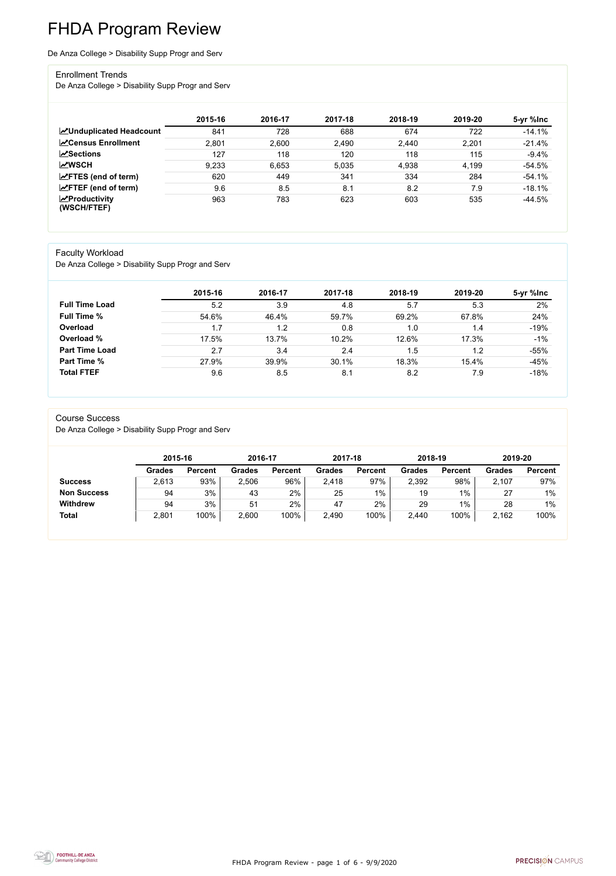FHDA Program Review - page 1 of 6 - 9/9/2020



# FHDA Program Review

De Anza College > Disability Supp Progr and Serv

#### Enrollment Trends

De Anza College > Disability Supp Progr and Serv

|                                    | 2015-16 | 2016-17 | 2017-18 | 2018-19 | 2019-20 | 5-yr %lnc |
|------------------------------------|---------|---------|---------|---------|---------|-----------|
| <b>ZUnduplicated Headcount</b>     | 841     | 728     | 688     | 674     | 722     | $-14.1%$  |
| <b>∠</b> Census Enrollment         | 2,801   | 2,600   | 2,490   | 2,440   | 2,201   | $-21.4%$  |
| <b>∠Sections</b>                   | 127     | 118     | 120     | 118     | 115     | $-9.4%$   |
| <b>MWSCH</b>                       | 9,233   | 6,653   | 5,035   | 4,938   | 4,199   | $-54.5%$  |
| $\angle$ FTES (end of term)        | 620     | 449     | 341     | 334     | 284     | $-54.1%$  |
| $\angle$ FTEF (end of term)        | 9.6     | 8.5     | 8.1     | 8.2     | 7.9     | $-18.1%$  |
| $\chi$ Productivity<br>(WSCH/FTEF) | 963     | 783     | 623     | 603     | 535     | $-44.5%$  |

#### Faculty Workload

De Anza College > Disability Supp Progr and Serv

|                       | 2015-16 | 2016-17 | 2017-18 | 2018-19 | 2019-20 | 5-yr %lnc |
|-----------------------|---------|---------|---------|---------|---------|-----------|
| <b>Full Time Load</b> | 5.2     | 3.9     | 4.8     | 5.7     | 5.3     | 2%        |
| <b>Full Time %</b>    | 54.6%   | 46.4%   | 59.7%   | 69.2%   | 67.8%   | 24%       |
| Overload              | 1.7     | 1.2     | 0.8     | 1.0     | 1.4     | $-19%$    |
| Overload %            | 17.5%   | 13.7%   | 10.2%   | 12.6%   | 17.3%   | $-1%$     |
| <b>Part Time Load</b> | 2.7     | 3.4     | 2.4     | .5      | 1.2     | $-55%$    |
| <b>Part Time %</b>    | 27.9%   | 39.9%   | 30.1%   | 18.3%   | 15.4%   | $-45%$    |
| <b>Total FTEF</b>     | 9.6     | 8.5     | 8.1     | 8.2     | 7.9     | $-18%$    |

#### Course Success

De Anza College > Disability Supp Progr and Serv

|                    |               | 2015-16        |               | 2016-17        | 2017-18       |                | 2018-19       |                | 2019-20       |                |
|--------------------|---------------|----------------|---------------|----------------|---------------|----------------|---------------|----------------|---------------|----------------|
|                    | <b>Grades</b> | <b>Percent</b> | <b>Grades</b> | <b>Percent</b> | <b>Grades</b> | <b>Percent</b> | <b>Grades</b> | <b>Percent</b> | <b>Grades</b> | <b>Percent</b> |
| <b>Success</b>     | 2,613         | 93%            | 2,506         | 96%            | 2,418         | 97%            | 2,392         | 98%            | 2,107         | 97%            |
| <b>Non Success</b> | 94            | 3%             | 43            | 2%             | 25            | $1\%$          | 19            | $1\%$          | 27            | $1\%$          |
| <b>Withdrew</b>    | 94            | 3%             | 51            | 2%             | 47            | 2%             | 29            | $1\%$          | 28            | $1\%$          |
| <b>Total</b>       | 2,801         | 100%           | 2,600         | 100%           | 2,490         | 100%           | 2,440         | 100%           | 2,162         | 100%           |

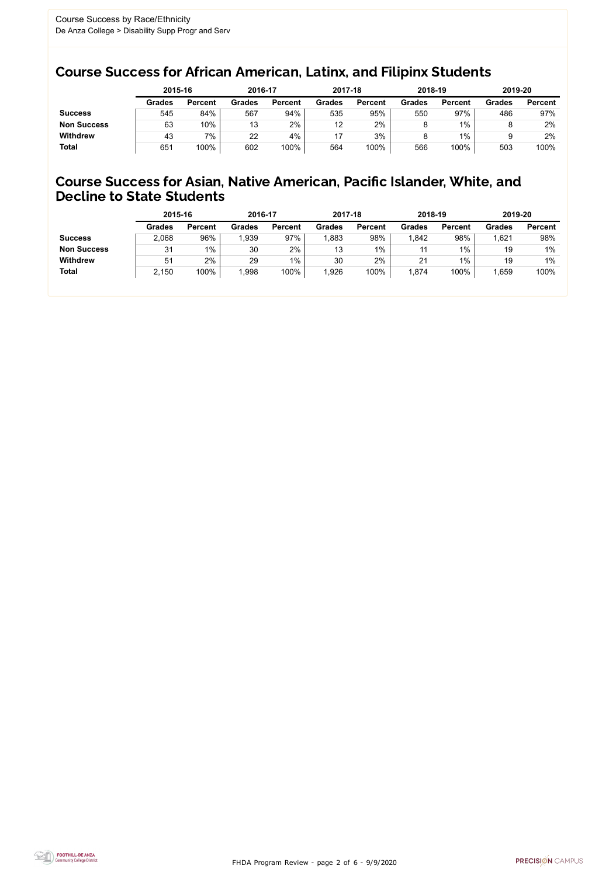FHDA Program Review - page 2 of 6 - 9/9/2020



### Course Success for African American, Latinx, and Filipinx Students

### Course Success for Asian, Native American, Pacific Islander, White, and Decline to State Students

|                    |               | 2015-16        |               | 2016-17        |               | 2017-18        | 2018-19       |                | 2019-20       |                |
|--------------------|---------------|----------------|---------------|----------------|---------------|----------------|---------------|----------------|---------------|----------------|
|                    | <b>Grades</b> | <b>Percent</b> | <b>Grades</b> | <b>Percent</b> | <b>Grades</b> | <b>Percent</b> | <b>Grades</b> | <b>Percent</b> | <b>Grades</b> | <b>Percent</b> |
| <b>Success</b>     | 545           | 84%            | 567           | 94%            | 535           | 95%            | 550           | 97%            | 486           | 97%            |
| <b>Non Success</b> | 63            | 10%            | 13            | 2%             | 12            | 2%             |               | $1\%$          |               | 2%             |
| <b>Withdrew</b>    | 43            | 7%             | 22            | 4%             |               | 3%             |               | $1\%$          |               | 2%             |
| <b>Total</b>       | 651           | 100%           | 602           | 100%           | 564           | 100%           | 566           | 100%           | 503           | 100%           |

|                    | 2015-16        |                | 2016-17       |                | 2017-18       |                | 2018-19       |                | 2019-20       |                |
|--------------------|----------------|----------------|---------------|----------------|---------------|----------------|---------------|----------------|---------------|----------------|
|                    | <b>Grades</b>  | <b>Percent</b> | <b>Grades</b> | <b>Percent</b> | <b>Grades</b> | <b>Percent</b> | <b>Grades</b> | <b>Percent</b> | <b>Grades</b> | <b>Percent</b> |
| <b>Success</b>     | 2,068          | 96%            | 1,939         | 97%            | ,883          | 98%            | .842          | 98%            | 1,621         | 98%            |
| <b>Non Success</b> | 31             | $1\%$          | 30            | 2%             | 13            | 1%             | 11            | $1\%$          | 19            | $1\%$          |
| <b>Withdrew</b>    | 5 <sup>1</sup> | 2%             | 29            | $1\%$          | 30            | 2%             | 21            | 1%             | 19            | $1\%$          |
| <b>Total</b>       | 2,150          | 100%           | 1,998         | 100%           | ,926          | 100%           | ,874          | 100%           | 1,659         | 100%           |
|                    |                |                |               |                |               |                |               |                |               |                |

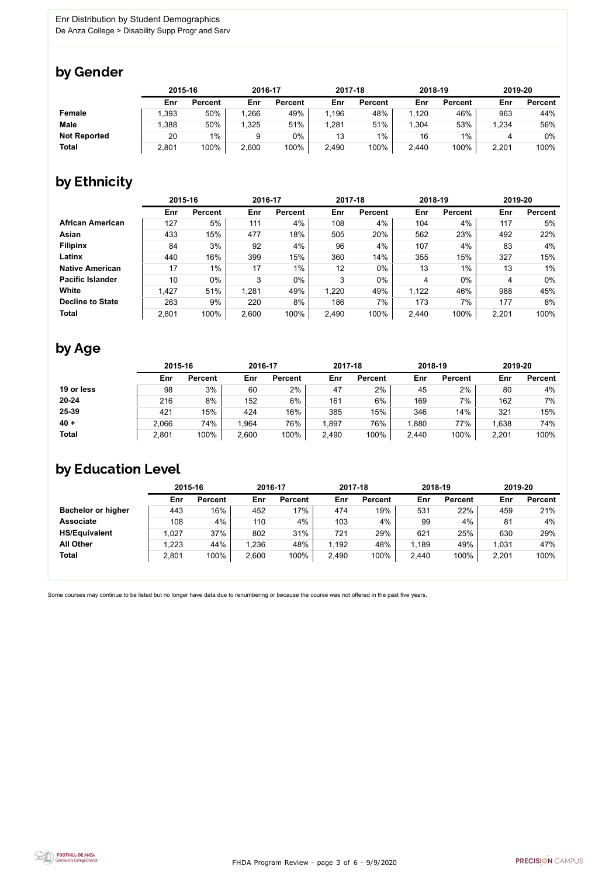

Some courses may continue to be listed but no longer have data due to renumbering or because the course was not offered in the past five years.



### by Gender

|                     | 2015-16 |                | 2016-17 |                | 2017-18 |                | 2018-19 |                | 2019-20 |                |
|---------------------|---------|----------------|---------|----------------|---------|----------------|---------|----------------|---------|----------------|
|                     | Enr     | <b>Percent</b> | Enr     | <b>Percent</b> | Enr     | <b>Percent</b> | Enr     | <b>Percent</b> | Enr     | <b>Percent</b> |
| <b>Female</b>       | .393    | 50%            | .266    | 49%            | 1,196   | 48%            | l,120   | 46%            | 963     | 44%            |
| <b>Male</b>         | .388    | 50%            | 1,325   | 51%            | 1,281   | 51%            | 1,304   | 53%            | 1,234   | 56%            |
| <b>Not Reported</b> | 20      | $1\%$          |         | $0\%$          | 13      | $1\%$          | 16      | $1\%$          |         | 0%             |
| <b>Total</b>        | 2,801   | 100%           | 2,600   | 100%           | 2,490   | 100%           | 2,440   | 100%           | 2,201   | 100%           |

## by Ethnicity

|                         |       | 2015-16        |       | 2016-17        |       | 2017-18        | 2018-19 |                | 2019-20 |                |
|-------------------------|-------|----------------|-------|----------------|-------|----------------|---------|----------------|---------|----------------|
|                         | Enr   | <b>Percent</b> | Enr   | <b>Percent</b> | Enr   | <b>Percent</b> | Enr     | <b>Percent</b> | Enr     | <b>Percent</b> |
| <b>African American</b> | 127   | 5%             | 111   | 4%             | 108   | 4%             | 104     | 4%             | 117     | 5%             |
| <b>Asian</b>            | 433   | 15%            | 477   | 18%            | 505   | 20%            | 562     | 23%            | 492     | 22%            |
| <b>Filipinx</b>         | 84    | 3%             | 92    | 4%             | 96    | 4%             | 107     | 4%             | 83      | 4%             |
| Latinx                  | 440   | 16%            | 399   | 15%            | 360   | 14%            | 355     | 15%            | 327     | 15%            |
| <b>Native American</b>  | 17    | $1\%$          | 17    | $1\%$          | 12    | $0\%$          | 13      | 1%             | 13      | 1%             |
| <b>Pacific Islander</b> | 10    | $0\%$          | 3     | $0\%$          | 3     | $0\%$          | 4       | $0\%$          | 4       | 0%             |
| White                   | 1,427 | 51%            | 1,281 | 49%            | 1,220 | 49%            | 1,122   | 46%            | 988     | 45%            |
| <b>Decline to State</b> | 263   | 9%             | 220   | 8%             | 186   | 7%             | 173     | 7%             | 177     | 8%             |
| <b>Total</b>            | 2,801 | 100%           | 2,600 | 100%           | 2,490 | 100%           | 2,440   | 100%           | 2,201   | 100%           |

## by Age

|              |       | 2015-16        |       | 2016-17        |       | 2017-18        | 2018-19 |                | 2019-20 |                |
|--------------|-------|----------------|-------|----------------|-------|----------------|---------|----------------|---------|----------------|
|              | Enr   | <b>Percent</b> | Enr   | <b>Percent</b> | Enr   | <b>Percent</b> | Enr     | <b>Percent</b> | Enr     | <b>Percent</b> |
| 19 or less   | 98    | 3%             | 60    | $2\%$          | 47    | 2%             | 45      | 2%             | 80      | 4%             |
| $20 - 24$    | 216   | 8%             | 152   | $6\%$          | 161   | 6%             | 169     | 7%             | 162     | 7%             |
| 25-39        | 421   | 15%            | 424   | 16%            | 385   | 15%            | 346     | 14%            | 321     | 15%            |
| $40 +$       | 2,066 | 74%            | 1,964 | 76%            | .897  | 76%            | ,880    | 77%            | 1,638   | 74%            |
| <b>Total</b> | 2,801 | 100%           | 2,600 | 100%           | 2,490 | 100%           | 2,440   | 100%           | 2,201   | 100%           |

## by Education Level

|                           | 2015-16 |                |       | 2016-17        |       | 2017-18        | 2018-19 |                | 2019-20 |                |
|---------------------------|---------|----------------|-------|----------------|-------|----------------|---------|----------------|---------|----------------|
|                           | Enr     | <b>Percent</b> | Enr   | <b>Percent</b> | Enr   | <b>Percent</b> | Enr     | <b>Percent</b> | Enr     | <b>Percent</b> |
| <b>Bachelor or higher</b> | 443     | 16%            | 452   | 17%            | 474   | 19%            | 531     | 22%            | 459     | 21%            |
| <b>Associate</b>          | 108     | 4%             | 110   | 4%             | 103   | 4%             | 99      | 4%             | 81      | 4%             |
| <b>HS/Equivalent</b>      | 1,027   | 37%            | 802   | 31%            | 721   | 29%            | 621     | 25%            | 630     | 29%            |
| <b>All Other</b>          | 1,223   | 44%            | 1,236 | 48%            | 1,192 | 48%            | 1,189   | 49%            | 1,031   | 47%            |
| <b>Total</b>              | 2,801   | 100%           | 2,600 | 100%           | 2,490 | 100%           | 2,440   | 100%           | 2,201   | 100%           |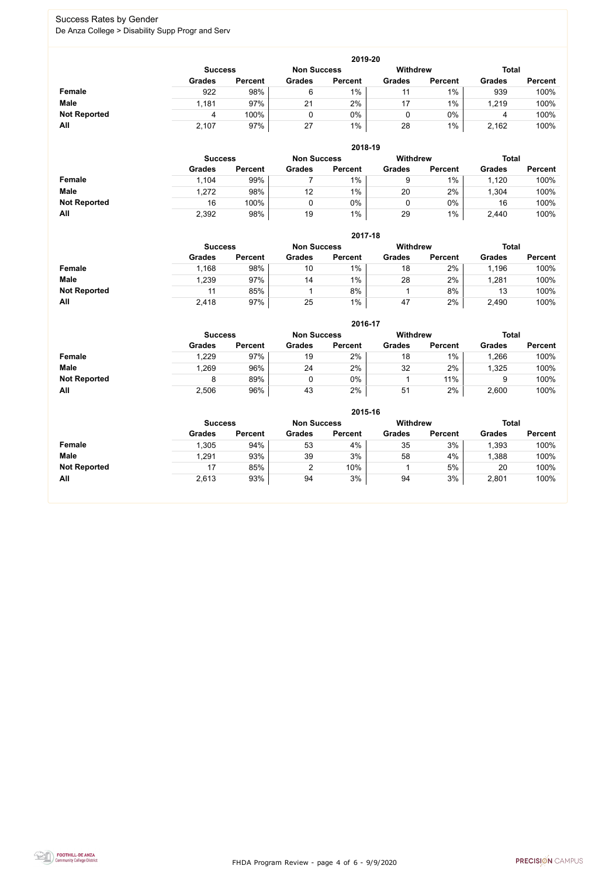FHDA Program Review - page 4 of 6 - 9/9/2020



### Success Rates by Gender De Anza College > Disability Supp Progr and Serv

|                     | 2019-20       |                                                                         |               |                |               |                |               |                |  |  |  |  |  |
|---------------------|---------------|-------------------------------------------------------------------------|---------------|----------------|---------------|----------------|---------------|----------------|--|--|--|--|--|
|                     |               | <b>Withdrew</b><br><b>Total</b><br><b>Non Success</b><br><b>Success</b> |               |                |               |                |               |                |  |  |  |  |  |
|                     | <b>Grades</b> | <b>Percent</b>                                                          | <b>Grades</b> | <b>Percent</b> | <b>Grades</b> | <b>Percent</b> | <b>Grades</b> | <b>Percent</b> |  |  |  |  |  |
| Female              | 922           | 98%                                                                     | 6             | 1%             | 11            | $1\%$          | 939           | 100%           |  |  |  |  |  |
| <b>Male</b>         | 1,181         | 97%                                                                     | 21            | 2%             | 17            | $1\%$          | 1,219         | 100%           |  |  |  |  |  |
| <b>Not Reported</b> | 4             | 100%                                                                    |               | $0\%$          | 0             | $0\%$          | 4             | 100%           |  |  |  |  |  |
| All                 | 2,107         | 97%                                                                     | 27            | 1%             | 28            | 1%             | 2,162         | 100%           |  |  |  |  |  |

|                     |                | 2018-19        |                 |                |               |                |               |                |  |  |  |  |  |  |
|---------------------|----------------|----------------|-----------------|----------------|---------------|----------------|---------------|----------------|--|--|--|--|--|--|
|                     | <b>Success</b> |                | <b>Withdrew</b> | <b>Total</b>   |               |                |               |                |  |  |  |  |  |  |
|                     | <b>Grades</b>  | <b>Percent</b> | <b>Grades</b>   | <b>Percent</b> | <b>Grades</b> | <b>Percent</b> | <b>Grades</b> | <b>Percent</b> |  |  |  |  |  |  |
| <b>Female</b>       | 1,104          | 99%            |                 | $1\%$          | 9             | $1\%$          | 1,120         | 100%           |  |  |  |  |  |  |
| <b>Male</b>         | 1,272          | 98%            | 12              | 1%             | 20            | 2%             | ,304          | 100%           |  |  |  |  |  |  |
| <b>Not Reported</b> | 16             | 100%           |                 | 0%             |               | $0\%$          | 16            | 100%           |  |  |  |  |  |  |
| All                 | 2,392          | 98%            | 19              | $1\%$          | 29            | $1\%$          | 2,440         | 100%           |  |  |  |  |  |  |

|                     |                | 2017-18        |                    |                 |               |                |               |                |  |  |  |  |  |  |
|---------------------|----------------|----------------|--------------------|-----------------|---------------|----------------|---------------|----------------|--|--|--|--|--|--|
|                     | <b>Success</b> |                | <b>Non Success</b> | <b>Withdrew</b> |               | <b>Total</b>   |               |                |  |  |  |  |  |  |
|                     | <b>Grades</b>  | <b>Percent</b> | <b>Grades</b>      | <b>Percent</b>  | <b>Grades</b> | <b>Percent</b> | <b>Grades</b> | <b>Percent</b> |  |  |  |  |  |  |
| Female              | 1,168          | 98%            | 10                 | $1\%$           | 18            | 2%             | 1,196         | 100%           |  |  |  |  |  |  |
| <b>Male</b>         | ,239           | 97%            | 14                 | $1\%$           | 28            | 2%             | ,281          | 100%           |  |  |  |  |  |  |
| <b>Not Reported</b> | 11             | 85%            |                    | 8%              |               | 8%             | 13            | 100%           |  |  |  |  |  |  |
| All                 | 2,418          | 97%            | 25                 | $1\%$           | 47            | 2%             | 2,490         | 100%           |  |  |  |  |  |  |

|                     |               | 2016-17                                                 |               |                |               |                |               |                |  |  |
|---------------------|---------------|---------------------------------------------------------|---------------|----------------|---------------|----------------|---------------|----------------|--|--|
|                     |               | <b>Withdrew</b><br><b>Non Success</b><br><b>Success</b> |               |                |               |                |               | <b>Total</b>   |  |  |
|                     | <b>Grades</b> | <b>Percent</b>                                          | <b>Grades</b> | <b>Percent</b> | <b>Grades</b> | <b>Percent</b> | <b>Grades</b> | <b>Percent</b> |  |  |
| Female              | 1,229         | 97%                                                     | 19            | 2%             | 18            | $1\%$          | 1,266         | 100%           |  |  |
| <b>Male</b>         | 1,269         | 96%                                                     | 24            | 2%             | 32            | 2%             | 1,325         | 100%           |  |  |
| <b>Not Reported</b> | 8             | 89%                                                     |               | 0%             |               | 11%            |               | 100%           |  |  |
| All                 | 2,506         | 96%                                                     | 43            | 2%             | 51            | 2%             | 2,600         | 100%           |  |  |

|                     |                                                                  | 2015-16        |                |                |               |                |               |                |  |  |  |
|---------------------|------------------------------------------------------------------|----------------|----------------|----------------|---------------|----------------|---------------|----------------|--|--|--|
|                     | Withdrew<br><b>Total</b><br><b>Non Success</b><br><b>Success</b> |                |                |                |               |                |               |                |  |  |  |
|                     | <b>Grades</b>                                                    | <b>Percent</b> | <b>Grades</b>  | <b>Percent</b> | <b>Grades</b> | <b>Percent</b> | <b>Grades</b> | <b>Percent</b> |  |  |  |
| Female              | 1,305                                                            | 94%            | 53             | 4%             | 35            | 3%             | ,393          | 100%           |  |  |  |
| <b>Male</b>         | 1,291                                                            | 93%            | 39             | 3%             | 58            | 4%             | ,388          | 100%           |  |  |  |
| <b>Not Reported</b> | 17                                                               | 85%            | $\overline{2}$ | 10%            |               | 5%             | 20            | 100%           |  |  |  |
| All                 | 2,613                                                            | 93%            | 94             | 3%             | 94            | 3%             | 2,801         | 100%           |  |  |  |

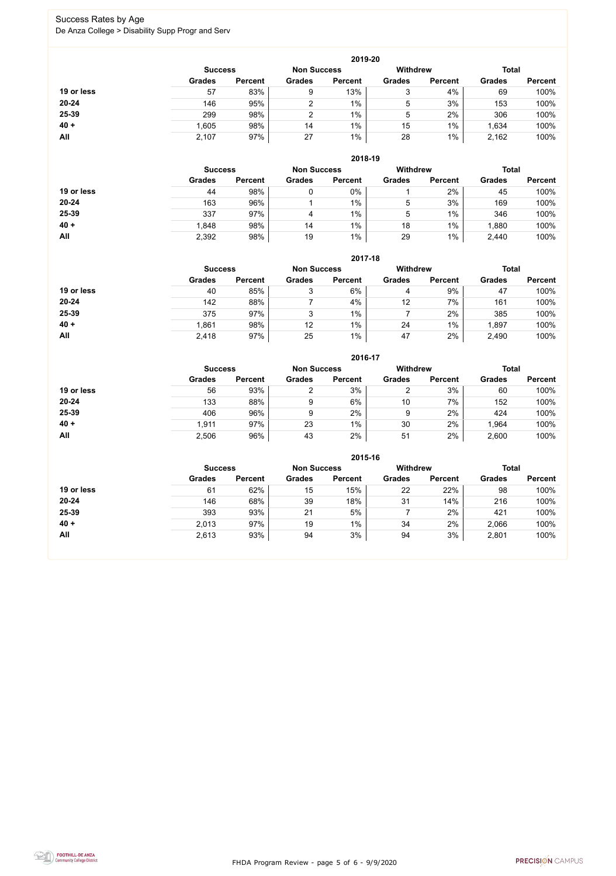FHDA Program Review - page 5 of 6 - 9/9/2020



### Success Rates by Age De Anza College > Disability Supp Progr and Serv

|            |                |                    |               | 2019-20         |               |                |               |                |
|------------|----------------|--------------------|---------------|-----------------|---------------|----------------|---------------|----------------|
|            | <b>Success</b> | <b>Non Success</b> |               | <b>Withdrew</b> |               | <b>Total</b>   |               |                |
|            | <b>Grades</b>  | <b>Percent</b>     | <b>Grades</b> | <b>Percent</b>  | <b>Grades</b> | <b>Percent</b> | <b>Grades</b> | <b>Percent</b> |
| 19 or less | 57             | 83%                | 9             | 13%             | ົ<br>J        | 4%             | 69            | 100%           |
| $20 - 24$  | 146            | 95%                | $\mathcal{P}$ | $1\%$           | 5             | 3%             | 153           | 100%           |
| 25-39      | 299            | 98%                | っ             | 1%              | 5             | 2%             | 306           | 100%           |
| $40 +$     | 1,605          | 98%                | 14            | 1%              | 15            | $1\%$          | 1,634         | 100%           |
| All        | 2,107          | 97%                | 27            | $1\%$           | 28            | $1\%$          | 2,162         | 100%           |

|            |                                      |                |               | 2018-19         |               |                |               |                |
|------------|--------------------------------------|----------------|---------------|-----------------|---------------|----------------|---------------|----------------|
|            | <b>Non Success</b><br><b>Success</b> |                |               | <b>Withdrew</b> |               | <b>Total</b>   |               |                |
|            | <b>Grades</b>                        | <b>Percent</b> | <b>Grades</b> | <b>Percent</b>  | <b>Grades</b> | <b>Percent</b> | <b>Grades</b> | <b>Percent</b> |
| 19 or less | 44                                   | 98%            |               | $0\%$           |               | 2%             | 45            | 100%           |
| $20 - 24$  | 163                                  | 96%            |               | $1\%$           | 5             | 3%             | 169           | 100%           |
| 25-39      | 337                                  | 97%            | 4             | $1\%$           | 5             | $1\%$          | 346           | 100%           |
| $40 +$     | 1,848                                | 98%            | 14            | $1\%$           | 18            | 1%             | 1,880         | 100%           |
| All        | 2,392                                | 98%            | 19            | $1\%$           | 29            | 1%             | 2,440         | 100%           |

|            |                                      |                |               | 2017-18        |                 |                |               |                |
|------------|--------------------------------------|----------------|---------------|----------------|-----------------|----------------|---------------|----------------|
|            | <b>Non Success</b><br><b>Success</b> |                |               |                | <b>Withdrew</b> |                | <b>Total</b>  |                |
|            | <b>Grades</b>                        | <b>Percent</b> | <b>Grades</b> | <b>Percent</b> | <b>Grades</b>   | <b>Percent</b> | <b>Grades</b> | <b>Percent</b> |
| 19 or less | 40                                   | 85%            | 3             | 6%             | 4               | 9%             | 47            | 100%           |
| $20 - 24$  | 142                                  | 88%            |               | 4%             | 12              | 7%             | 161           | 100%           |
| 25-39      | 375                                  | 97%            | 3             | $1\%$          |                 | 2%             | 385           | 100%           |
| $40 +$     | 1,861                                | 98%            | 12            | $1\%$          | 24              | $1\%$          | ,897          | 100%           |
| All        | 2,418                                | 97%            | 25            | $1\%$          | 47              | 2%             | 2,490         | 100%           |

|            |                |                    |                | 2016-17         |               |                |               |                |
|------------|----------------|--------------------|----------------|-----------------|---------------|----------------|---------------|----------------|
|            | <b>Success</b> | <b>Non Success</b> |                | <b>Withdrew</b> |               | <b>Total</b>   |               |                |
|            | <b>Grades</b>  | <b>Percent</b>     | <b>Grades</b>  | <b>Percent</b>  | <b>Grades</b> | <b>Percent</b> | <b>Grades</b> | <b>Percent</b> |
| 19 or less | 56             | 93%                | $\overline{2}$ | 3%              | っ             | 3%             | 60            | 100%           |
| $20 - 24$  | 133            | 88%                | 9              | 6%              | 10            | 7%             | 152           | 100%           |
| 25-39      | 406            | 96%                | 9              | 2%              | 9             | 2%             | 424           | 100%           |
| $40 +$     | 1,911          | 97%                | 23             | 1%              | 30            | 2%             | ,964          | 100%           |
| All        | 2,506          | 96%                | 43             | 2%              | 51            | 2%             | 2,600         | 100%           |

|            |                                      |                |               | 2015-16        |                 |                |               |                |
|------------|--------------------------------------|----------------|---------------|----------------|-----------------|----------------|---------------|----------------|
|            | <b>Non Success</b><br><b>Success</b> |                |               |                | <b>Withdrew</b> |                | <b>Total</b>  |                |
|            | <b>Grades</b>                        | <b>Percent</b> | <b>Grades</b> | <b>Percent</b> | <b>Grades</b>   | <b>Percent</b> | <b>Grades</b> | <b>Percent</b> |
| 19 or less | 61                                   | 62%            | 15            | 15%            | 22              | 22%            | 98            | 100%           |
| $20 - 24$  | 146                                  | 68%            | 39            | 18%            | 31              | 14%            | 216           | 100%           |
| 25-39      | 393                                  | 93%            | 21            | 5%             |                 | 2%             | 421           | 100%           |
| $40 +$     | 2,013                                | 97%            | 19            | 1%             | 34              | 2%             | 2,066         | 100%           |
| All        | 2,613                                | 93%            | 94            | 3%             | 94              | 3%             | 2,801         | 100%           |